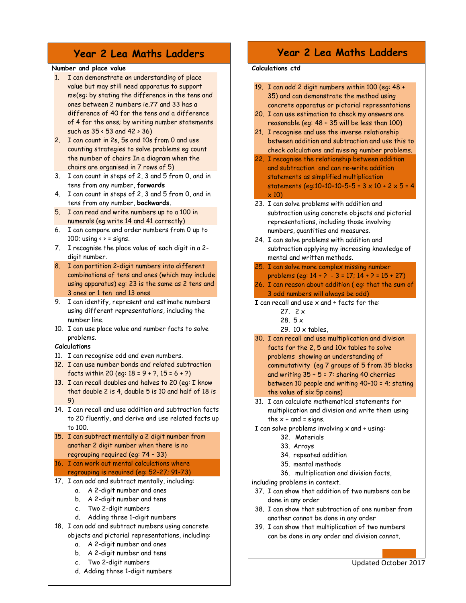# Year 2 Lea Maths Ladders

#### Number and place value

- 1. I can demonstrate an understanding of place value but may still need apparatus to support me(eg: by stating the difference in the tens and ones between 2 numbers ie.77 and 33 has a difference of 40 for the tens and a difference of 4 for the ones; by writing number statements such as 35 < 53 and 42 > 36)
- 2. I can count in 2s, 5s and 10s from 0 and use counting strategies to solve problems eg count the number of chairs In a diagram when the chairs are organised in 7 rows of 5)
- 3. I can count in steps of 2, 3 and 5 from 0, and in tens from any number, forwards
- 4. I can count in steps of 2, 3 and 5 from 0, and in tens from any number, backwards.
- 5. I can read and write numbers up to a 100 in numerals (eg write 14 and 41 correctly)
- 6. I can compare and order numbers from 0 up to 100; using  $\leftrightarrow$  = signs.
- 7. I recognise the place value of each digit in a 2 digit number.
- 8. I can partition 2-digit numbers into different combinations of tens and ones (which may include using apparatus) eg: 23 is the same as 2 tens and 3 ones or 1 ten and 13 ones
- 9. I can identify, represent and estimate numbers using different representations, including the number line.
- 10. I can use place value and number facts to solve problems.

### Calculations

- 11. I can recognise odd and even numbers.
- 12. I can use number bonds and related subtraction facts within 20 (eq:  $18 = 9 + 2$ ,  $15 = 6 + 2$ )
- 13. I can recall doubles and halves to 20 (eg: I know that double 2 is 4, double 5 is 10 and half of 18 is 9)
- 14. I can recall and use addition and subtraction facts to 20 fluently, and derive and use related facts up to 100.
- 15. I can subtract mentally a 2 digit number from another 2 digit number when there is no regrouping required (eg: 74 – 33)
- 16. I can work out mental calculations where regrouping is required (eg: 52-27; 91-73)
- 17. I can add and subtract mentally, including:
	- a. A 2-digit number and ones
	- b. A 2-digit number and tens
	- c. Two 2-digit numbers
	- d. Adding three 1-digit numbers
- 18. I can add and subtract numbers using concrete objects and pictorial representations, including:
	- a. A 2-digit number and ones
	- b. A 2-digit number and tens
	- c. Two 2-digit numbers
	- d. Adding three 1-digit numbers

## Year 2 Lea Maths Ladders

## Calculations ctd

|                                                    | 19. I can add 2 digit numbers within 100 (eg: 48 +                      |
|----------------------------------------------------|-------------------------------------------------------------------------|
|                                                    | 35) and can demonstrate the method using                                |
|                                                    | concrete apparatus or pictorial representations                         |
|                                                    | 20. I can use estimation to check my answers are                        |
|                                                    | reasonable (eg: 48 + 35 will be less than 100)                          |
| 21.                                                | I recognise and use the inverse relationship                            |
|                                                    | between addition and subtraction and use this to                        |
|                                                    | check calculations and missing number problems.                         |
|                                                    | 22. I recognise the relationship between addition                       |
|                                                    | and subtraction and can re-write addition                               |
|                                                    | statements as simplified multiplication                                 |
|                                                    | statements (eq:10+10+10+5+5 = $3 \times 10 + 2 \times 5 = 4$            |
|                                                    | $\times$ 10)                                                            |
|                                                    | 23. I can solve problems with addition and                              |
|                                                    | subtraction using concrete objects and pictorial                        |
|                                                    | representations, including those involving                              |
|                                                    | numbers, quantities and measures.                                       |
|                                                    | 24. I can solve problems with addition and                              |
|                                                    | subtraction applying my increasing knowledge of                         |
|                                                    | mental and written methods.                                             |
|                                                    | 25. I can solve more complex missing number                             |
|                                                    | problems (eq: $14 + ? - 3 = 17$ ; $14 + ? = 15 + 27$ )                  |
|                                                    | 26. I can reason about addition (eq: that the sum of                    |
|                                                    | 3 odd numbers will always be odd)                                       |
| I can recall and use $x$ and $\div$ facts for the: |                                                                         |
|                                                    |                                                                         |
|                                                    | 27. 2x                                                                  |
|                                                    | 28. 5 x                                                                 |
|                                                    | 29. 10 x tables,                                                        |
|                                                    | 30. I can recall and use multiplication and division                    |
|                                                    | facts for the 2, 5 and 10x tables to solve                              |
|                                                    | problems showing an understanding of                                    |
|                                                    | commutativity (eg 7 groups of 5 from 35 blocks                          |
|                                                    | and writing $35 \div 5 = 7$ : sharing 40 cherries                       |
|                                                    | between 10 people and writing 40÷10 = 4; stating                        |
|                                                    | the value of six 5p coins)                                              |
| 31.                                                | I can calculate mathematical statements for                             |
|                                                    | multiplication and division and write them using                        |
|                                                    | the $x \div$ and = signs.                                               |
|                                                    | I can solve problems involving $x$ and $\div$ using:                    |
|                                                    | 32. Materials                                                           |
|                                                    | 33. Arrays                                                              |
|                                                    | 34. repeated addition<br>35. mental methods                             |
|                                                    |                                                                         |
|                                                    | 36. multiplication and division facts,                                  |
|                                                    | including problems in context.                                          |
|                                                    | 37. I can show that addition of two numbers can be                      |
|                                                    | done in any order<br>38. I can show that subtraction of one number from |

39. I can show that multiplication of two numbers can be done in any order and division cannot.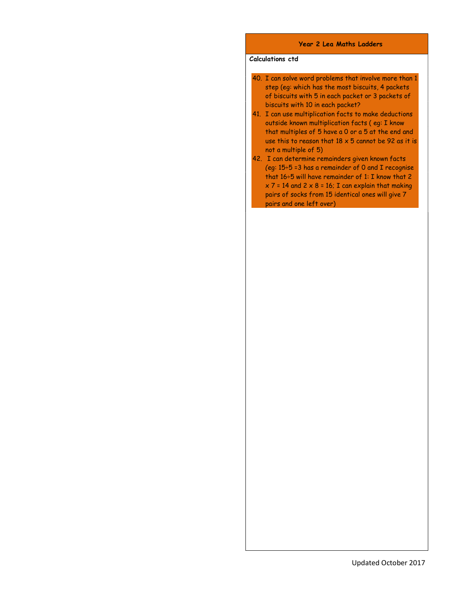#### Year 2 Lea Maths Ladders

### Calculations ctd

- 40. I can solve word problems that involve more than 1 step (eg: which has the most biscuits, 4 packets of biscuits with 5 in each packet or 3 packets of biscuits with 10 in each packet?
- 41. I can use multiplication facts to make deductions outside known multiplication facts ( eg: I know that multiples of 5 have a 0 or a 5 at the end and use this to reason that  $18 \times 5$  cannot be 92 as it is not a multiple of 5)
- 42. I can determine remainders given known facts (eg: 15÷5 =3 has a remainder of 0 and I recognise that 16÷5 will have remainder of 1: I know that 2  $x$  7 = 14 and 2  $x$  8 = 16; I can explain that making pairs of socks from 15 identical ones will give 7 pairs and one left over)